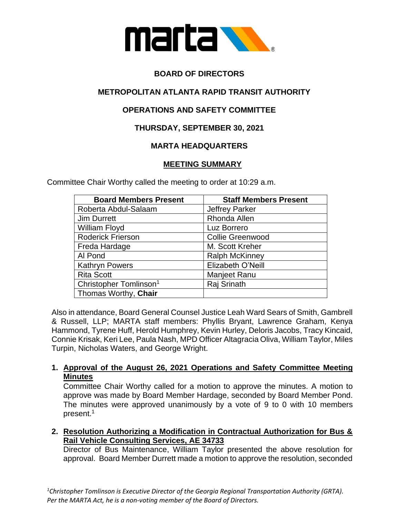

# **BOARD OF DIRECTORS**

# **METROPOLITAN ATLANTA RAPID TRANSIT AUTHORITY**

# **OPERATIONS AND SAFETY COMMITTEE**

## **THURSDAY, SEPTEMBER 30, 2021**

## **MARTA HEADQUARTERS**

## **MEETING SUMMARY**

Committee Chair Worthy called the meeting to order at 10:29 a.m.

| <b>Board Members Present</b>       | <b>Staff Members Present</b> |
|------------------------------------|------------------------------|
| Roberta Abdul-Salaam               | <b>Jeffrey Parker</b>        |
| <b>Jim Durrett</b>                 | Rhonda Allen                 |
| William Floyd                      | Luz Borrero                  |
| <b>Roderick Frierson</b>           | <b>Collie Greenwood</b>      |
| Freda Hardage                      | M. Scott Kreher              |
| Al Pond                            | <b>Ralph McKinney</b>        |
| <b>Kathryn Powers</b>              | Elizabeth O'Neill            |
| <b>Rita Scott</b>                  | Manjeet Ranu                 |
| Christopher Tomlinson <sup>1</sup> | Raj Srinath                  |
| Thomas Worthy, Chair               |                              |

Also in attendance, Board General Counsel Justice Leah Ward Sears of Smith, Gambrell & Russell, LLP; MARTA staff members: Phyllis Bryant, Lawrence Graham, Kenya Hammond, Tyrene Huff, Herold Humphrey, Kevin Hurley, Deloris Jacobs, Tracy Kincaid, Connie Krisak, Keri Lee, Paula Nash, MPD Officer Altagracia Oliva, William Taylor, Miles Turpin, Nicholas Waters, and George Wright.

## **1. Approval of the August 26, 2021 Operations and Safety Committee Meeting Minutes**

Committee Chair Worthy called for a motion to approve the minutes. A motion to approve was made by Board Member Hardage, seconded by Board Member Pond. The minutes were approved unanimously by a vote of 9 to 0 with 10 members present.<sup>1</sup>

**2. Resolution Authorizing a Modification in Contractual Authorization for Bus & Rail Vehicle Consulting Services, AE 34733**

Director of Bus Maintenance, William Taylor presented the above resolution for approval. Board Member Durrett made a motion to approve the resolution, seconded